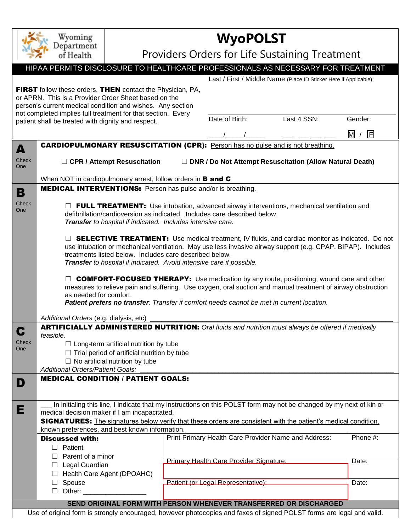| Wyoming<br>Department                                                                                                                                                                                                                                                                                                                                |                                                                                                                                                                                                                                                                                                                                                                                                                                                                                                                                                                                                                                  | <b>WyoPOLST</b>                                |                |                                         |                                                                                                           |          |  |  |  |  |
|------------------------------------------------------------------------------------------------------------------------------------------------------------------------------------------------------------------------------------------------------------------------------------------------------------------------------------------------------|----------------------------------------------------------------------------------------------------------------------------------------------------------------------------------------------------------------------------------------------------------------------------------------------------------------------------------------------------------------------------------------------------------------------------------------------------------------------------------------------------------------------------------------------------------------------------------------------------------------------------------|------------------------------------------------|----------------|-----------------------------------------|-----------------------------------------------------------------------------------------------------------|----------|--|--|--|--|
|                                                                                                                                                                                                                                                                                                                                                      | of Health                                                                                                                                                                                                                                                                                                                                                                                                                                                                                                                                                                                                                        | Providers Orders for Life Sustaining Treatment |                |                                         |                                                                                                           |          |  |  |  |  |
| HIPAA PERMITS DISCLOSURE TO HEALTHCARE PROFESSIONALS AS NECESSARY FOR TREATMENT                                                                                                                                                                                                                                                                      |                                                                                                                                                                                                                                                                                                                                                                                                                                                                                                                                                                                                                                  |                                                |                |                                         |                                                                                                           |          |  |  |  |  |
| Last / First / Middle Name (Place ID Sticker Here if Applicable):                                                                                                                                                                                                                                                                                    |                                                                                                                                                                                                                                                                                                                                                                                                                                                                                                                                                                                                                                  |                                                |                |                                         |                                                                                                           |          |  |  |  |  |
| FIRST follow these orders, THEN contact the Physician, PA,<br>or APRN. This is a Provider Order Sheet based on the<br>person's current medical condition and wishes. Any section<br>not completed implies full treatment for that section. Every<br>patient shall be treated with dignity and respect.                                               |                                                                                                                                                                                                                                                                                                                                                                                                                                                                                                                                                                                                                                  |                                                | Date of Birth: | Last 4 SSN:                             | Gender:<br>$\overline{\mathsf{M}}$<br>同                                                                   |          |  |  |  |  |
|                                                                                                                                                                                                                                                                                                                                                      |                                                                                                                                                                                                                                                                                                                                                                                                                                                                                                                                                                                                                                  |                                                |                |                                         |                                                                                                           |          |  |  |  |  |
| A<br>Check<br>One                                                                                                                                                                                                                                                                                                                                    | <b>CARDIOPULMONARY RESUSCITATION (CPR):</b> Person has no pulse and is not breathing.<br>$\Box$ CPR / Attempt Resuscitation<br>$\Box$ DNR / Do Not Attempt Resuscitation (Allow Natural Death)                                                                                                                                                                                                                                                                                                                                                                                                                                   |                                                |                |                                         |                                                                                                           |          |  |  |  |  |
|                                                                                                                                                                                                                                                                                                                                                      | When NOT in cardiopulmonary arrest, follow orders in <b>B and C</b>                                                                                                                                                                                                                                                                                                                                                                                                                                                                                                                                                              |                                                |                |                                         |                                                                                                           |          |  |  |  |  |
| В                                                                                                                                                                                                                                                                                                                                                    | <b>MEDICAL INTERVENTIONS:</b> Person has pulse and/or is breathing.                                                                                                                                                                                                                                                                                                                                                                                                                                                                                                                                                              |                                                |                |                                         |                                                                                                           |          |  |  |  |  |
| Check<br>One                                                                                                                                                                                                                                                                                                                                         | <b>FULL TREATMENT:</b> Use intubation, advanced airway interventions, mechanical ventilation and<br>defibrillation/cardioversion as indicated. Includes care described below.<br>Transfer to hospital if indicated. Includes intensive care.<br>$\Box$ <b>SELECTIVE TREATMENT:</b> Use medical treatment, IV fluids, and cardiac monitor as indicated. Do not                                                                                                                                                                                                                                                                    |                                                |                |                                         |                                                                                                           |          |  |  |  |  |
|                                                                                                                                                                                                                                                                                                                                                      | use intubation or mechanical ventilation. May use less invasive airway support (e.g. CPAP, BIPAP). Includes<br>treatments listed below. Includes care described below.<br>Transfer to hospital if indicated. Avoid intensive care if possible.<br><b>COMFORT-FOCUSED THERAPY:</b> Use medication by any route, positioning, wound care and other<br>measures to relieve pain and suffering. Use oxygen, oral suction and manual treatment of airway obstruction<br>as needed for comfort.<br>Patient prefers no transfer: Transfer if comfort needs cannot be met in current location.<br>Additional Orders (e.g. dialysis, etc) |                                                |                |                                         |                                                                                                           |          |  |  |  |  |
| U                                                                                                                                                                                                                                                                                                                                                    |                                                                                                                                                                                                                                                                                                                                                                                                                                                                                                                                                                                                                                  |                                                |                |                                         | <b>ARTIFICIALLY ADMINISTERED NUTRITION:</b> Oral fluids and nutrition must always be offered if medically |          |  |  |  |  |
| Check<br>One                                                                                                                                                                                                                                                                                                                                         | feasible.<br>$\Box$ Long-term artificial nutrition by tube<br>$\Box$ Trial period of artificial nutrition by tube<br>$\Box$ No artificial nutrition by tube<br><b>Additional Orders/Patient Goals:</b>                                                                                                                                                                                                                                                                                                                                                                                                                           |                                                |                |                                         |                                                                                                           |          |  |  |  |  |
| D                                                                                                                                                                                                                                                                                                                                                    | <b>MEDICAL CONDITION / PATIENT GOALS:</b>                                                                                                                                                                                                                                                                                                                                                                                                                                                                                                                                                                                        |                                                |                |                                         |                                                                                                           |          |  |  |  |  |
|                                                                                                                                                                                                                                                                                                                                                      |                                                                                                                                                                                                                                                                                                                                                                                                                                                                                                                                                                                                                                  |                                                |                |                                         |                                                                                                           |          |  |  |  |  |
| In initialing this line, I indicate that my instructions on this POLST form may not be changed by my next of kin or<br>Е<br>medical decision maker if I am incapacitated.<br><b>SIGNATURES:</b> The signatures below verify that these orders are consistent with the patient's medical condition.<br>known preferences, and best known information. |                                                                                                                                                                                                                                                                                                                                                                                                                                                                                                                                                                                                                                  |                                                |                |                                         |                                                                                                           |          |  |  |  |  |
|                                                                                                                                                                                                                                                                                                                                                      | <b>Discussed with:</b>                                                                                                                                                                                                                                                                                                                                                                                                                                                                                                                                                                                                           |                                                |                |                                         | Print Primary Health Care Provider Name and Address:                                                      | Phone #: |  |  |  |  |
|                                                                                                                                                                                                                                                                                                                                                      | $\Box$ Patient                                                                                                                                                                                                                                                                                                                                                                                                                                                                                                                                                                                                                   |                                                |                |                                         |                                                                                                           |          |  |  |  |  |
|                                                                                                                                                                                                                                                                                                                                                      | Parent of a minor                                                                                                                                                                                                                                                                                                                                                                                                                                                                                                                                                                                                                |                                                |                | Primary Health Care Provider Signature: |                                                                                                           | Date:    |  |  |  |  |
|                                                                                                                                                                                                                                                                                                                                                      | $\Box$ Legal Guardian                                                                                                                                                                                                                                                                                                                                                                                                                                                                                                                                                                                                            |                                                |                |                                         |                                                                                                           |          |  |  |  |  |
|                                                                                                                                                                                                                                                                                                                                                      | □ Health Care Agent (DPOAHC)<br>$\Box$ Spouse                                                                                                                                                                                                                                                                                                                                                                                                                                                                                                                                                                                    |                                                |                | Patient (or Legal Representative):      |                                                                                                           | Date:    |  |  |  |  |
|                                                                                                                                                                                                                                                                                                                                                      | $\Box$ Other: $\_\_\_\_\_\_\_\_\_\_\_\_\_$                                                                                                                                                                                                                                                                                                                                                                                                                                                                                                                                                                                       |                                                |                |                                         |                                                                                                           |          |  |  |  |  |
| SEND ORIGINAL FORM WITH PERSON WHENEVER TRANSFERRED OR DISCHARGED                                                                                                                                                                                                                                                                                    |                                                                                                                                                                                                                                                                                                                                                                                                                                                                                                                                                                                                                                  |                                                |                |                                         |                                                                                                           |          |  |  |  |  |
| Use of original form is strongly encouraged, however photocopies and faxes of signed POLST forms are legal and valid.                                                                                                                                                                                                                                |                                                                                                                                                                                                                                                                                                                                                                                                                                                                                                                                                                                                                                  |                                                |                |                                         |                                                                                                           |          |  |  |  |  |